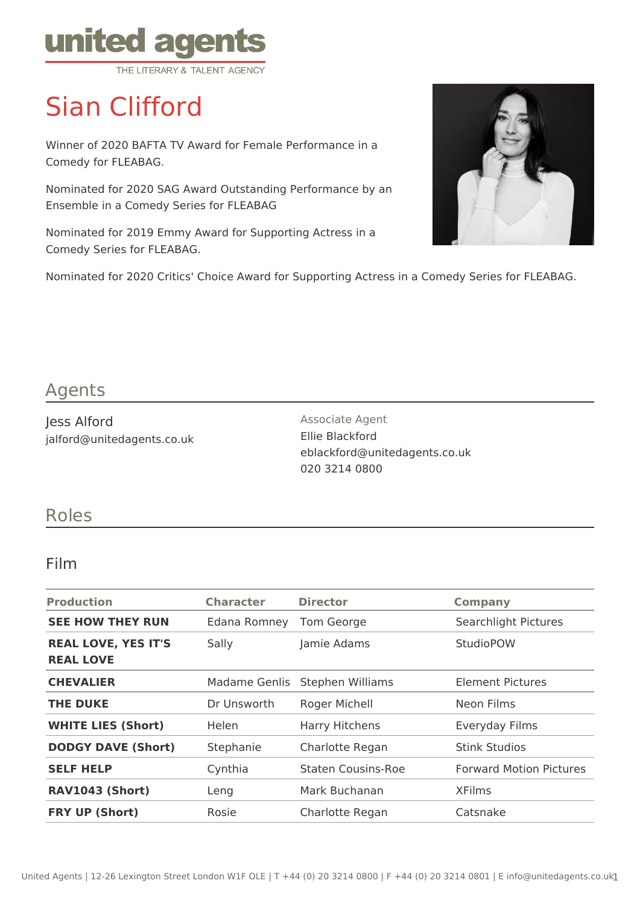

# Sian Clifford

Winner of 2020 BAFTA TV Award for Female Performance in a Comedy for FLEABAG.

Nominated for 2020 SAG Award Outstanding Performance by an Ensemble in a Comedy Series for FLEABAG

Nominated for 2019 Emmy Award for Supporting Actress in a Comedy Series for FLEABAG.



Nominated for 2020 Critics' Choice Award for Supporting Actress in a Comedy Series for FLEABAG.

### Agents

Jess Alford jalford@unitedagents.co.uk Associate Agent Ellie Blackford eblackford@unitedagents.co.uk 020 3214 0800

#### Roles

#### Film

| <b>Production</b>                              | <b>Character</b> | <b>Director</b>    | <b>Company</b>                 |
|------------------------------------------------|------------------|--------------------|--------------------------------|
| <b>SEE HOW THEY RUN</b>                        | Edana Romney     | Tom George         | Searchlight Pictures           |
| <b>REAL LOVE, YES IT'S</b><br><b>REAL LOVE</b> | Sally            | Jamie Adams        | <b>StudioPOW</b>               |
| <b>CHEVALIER</b>                               | Madame Genlis    | Stephen Williams   | Element Pictures               |
| <b>THE DUKE</b>                                | Dr Unsworth      | Roger Michell      | Neon Films                     |
| <b>WHITE LIES (Short)</b>                      | <b>Helen</b>     | Harry Hitchens     | Everyday Films                 |
| <b>DODGY DAVE (Short)</b>                      | Stephanie        | Charlotte Regan    | <b>Stink Studios</b>           |
| <b>SELF HELP</b>                               | Cynthia          | Staten Cousins-Roe | <b>Forward Motion Pictures</b> |
| <b>RAV1043 (Short)</b>                         | Leng             | Mark Buchanan      | <b>XFilms</b>                  |
| <b>FRY UP (Short)</b>                          | Rosie            | Charlotte Regan    | Catsnake                       |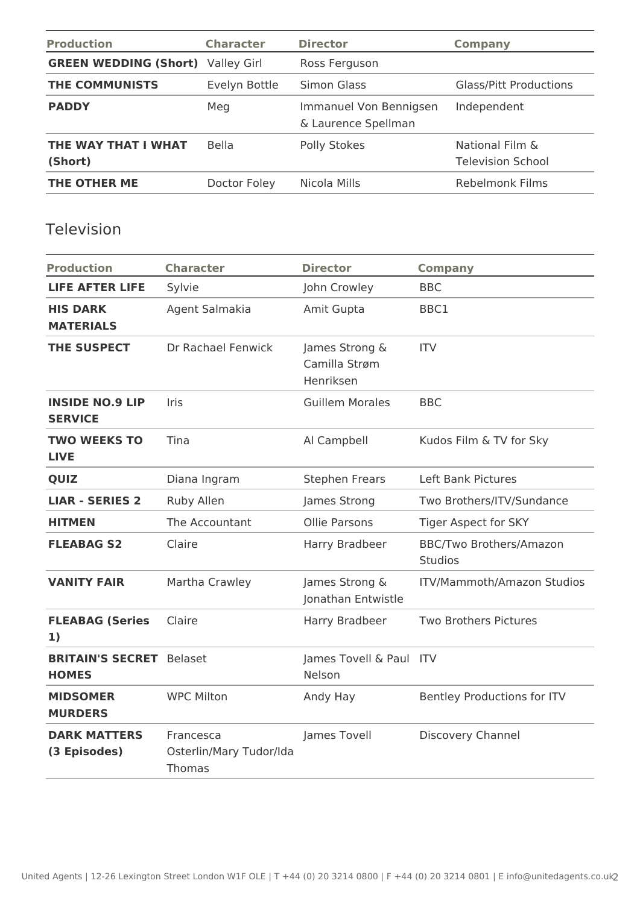| <b>Production</b>                        | <b>Character</b> | <b>Director</b>                               | <b>Company</b>                              |
|------------------------------------------|------------------|-----------------------------------------------|---------------------------------------------|
| <b>GREEN WEDDING (Short)</b> Valley Girl |                  | Ross Ferguson                                 |                                             |
| <b>THE COMMUNISTS</b>                    | Evelyn Bottle    | Simon Glass                                   | <b>Glass/Pitt Productions</b>               |
| <b>PADDY</b>                             | Meg              | Immanuel Von Bennigsen<br>& Laurence Spellman | Independent                                 |
| THE WAY THAT I WHAT<br>(Short)           | <b>Bella</b>     | Polly Stokes                                  | National Film &<br><b>Television School</b> |
| THE OTHER ME                             | Doctor Foley     | Nicola Mills                                  | <b>Rebelmonk Films</b>                      |

#### Television

| <b>Production</b>                               | <b>Character</b>                                      | <b>Director</b>                              | <b>Company</b>                            |
|-------------------------------------------------|-------------------------------------------------------|----------------------------------------------|-------------------------------------------|
| <b>LIFE AFTER LIFE</b>                          | Sylvie                                                | John Crowley                                 | <b>BBC</b>                                |
| <b>HIS DARK</b><br><b>MATERIALS</b>             | Agent Salmakia                                        | Amit Gupta                                   | BBC1                                      |
| <b>THE SUSPECT</b>                              | Dr Rachael Fenwick                                    | James Strong &<br>Camilla Strøm<br>Henriksen | <b>ITV</b>                                |
| <b>INSIDE NO.9 LIP</b><br><b>SERVICE</b>        | Iris                                                  | <b>Guillem Morales</b>                       | <b>BBC</b>                                |
| <b>TWO WEEKS TO</b><br><b>LIVE</b>              | Tina                                                  | Al Campbell                                  | Kudos Film & TV for Sky                   |
| <b>QUIZ</b>                                     | Diana Ingram                                          | <b>Stephen Frears</b>                        | Left Bank Pictures                        |
| <b>LIAR - SERIES 2</b>                          | Ruby Allen                                            | James Strong                                 | Two Brothers/ITV/Sundance                 |
| <b>HITMEN</b>                                   | The Accountant                                        | <b>Ollie Parsons</b>                         | Tiger Aspect for SKY                      |
| <b>FLEABAG S2</b>                               | Claire                                                | Harry Bradbeer                               | BBC/Two Brothers/Amazon<br><b>Studios</b> |
| <b>VANITY FAIR</b>                              | Martha Crawley                                        | James Strong &<br>Jonathan Entwistle         | ITV/Mammoth/Amazon Studios                |
| <b>FLEABAG (Series</b><br>1)                    | Claire                                                | Harry Bradbeer                               | <b>Two Brothers Pictures</b>              |
| <b>BRITAIN'S SECRET</b> Belaset<br><b>HOMES</b> |                                                       | James Tovell & Paul ITV<br>Nelson            |                                           |
| <b>MIDSOMER</b><br><b>MURDERS</b>               | <b>WPC Milton</b>                                     | Andy Hay                                     | Bentley Productions for ITV               |
| <b>DARK MATTERS</b><br>(3 Episodes)             | Francesca<br>Osterlin/Mary Tudor/Ida<br><b>Thomas</b> | James Tovell                                 | Discovery Channel                         |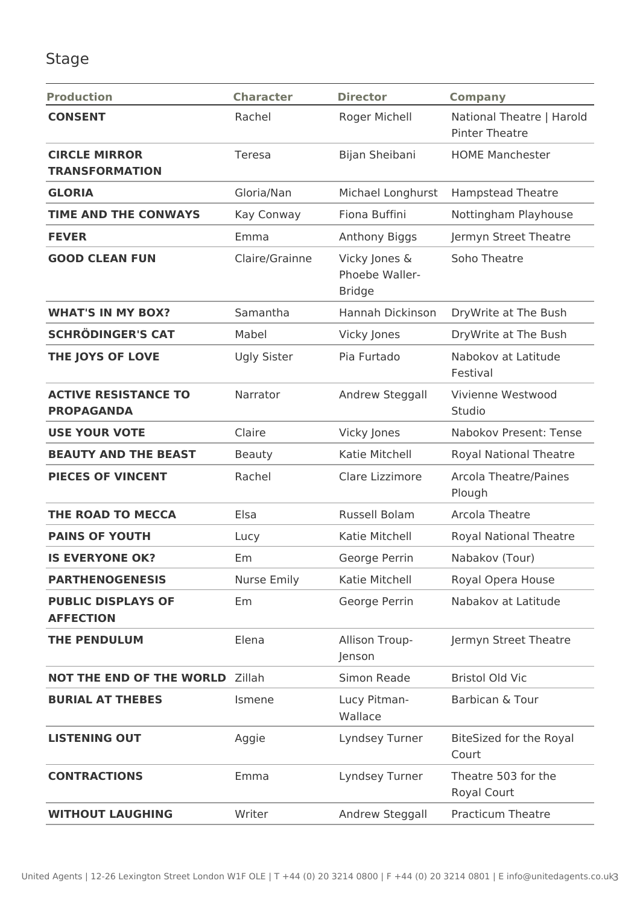## Stage

| <b>Production</b>                                | <b>Character</b>   | <b>Director</b>                                  | <b>Company</b>                                     |
|--------------------------------------------------|--------------------|--------------------------------------------------|----------------------------------------------------|
| <b>CONSENT</b>                                   | Rachel             | Roger Michell                                    | National Theatre   Harold<br><b>Pinter Theatre</b> |
| <b>CIRCLE MIRROR</b><br><b>TRANSFORMATION</b>    | Teresa             | Bijan Sheibani                                   | <b>HOME Manchester</b>                             |
| <b>GLORIA</b>                                    | Gloria/Nan         | Michael Longhurst                                | <b>Hampstead Theatre</b>                           |
| <b>TIME AND THE CONWAYS</b>                      | Kay Conway         | Fiona Buffini                                    | Nottingham Playhouse                               |
| <b>FEVER</b>                                     | Emma               | Anthony Biggs                                    | Jermyn Street Theatre                              |
| <b>GOOD CLEAN FUN</b>                            | Claire/Grainne     | Vicky Jones &<br>Phoebe Waller-<br><b>Bridge</b> | Soho Theatre                                       |
| <b>WHAT'S IN MY BOX?</b>                         | Samantha           | Hannah Dickinson                                 | DryWrite at The Bush                               |
| <b>SCHRÖDINGER'S CAT</b>                         | Mabel              | Vicky Jones                                      | DryWrite at The Bush                               |
| THE JOYS OF LOVE                                 | <b>Ugly Sister</b> | Pia Furtado                                      | Nabokov at Latitude<br>Festival                    |
| <b>ACTIVE RESISTANCE TO</b><br><b>PROPAGANDA</b> | Narrator           | Andrew Steggall                                  | Vivienne Westwood<br>Studio                        |
| <b>USE YOUR VOTE</b>                             | Claire             | Vicky Jones                                      | Nabokov Present: Tense                             |
| <b>BEAUTY AND THE BEAST</b>                      | <b>Beauty</b>      | Katie Mitchell                                   | <b>Royal National Theatre</b>                      |
| <b>PIECES OF VINCENT</b>                         | Rachel             | Clare Lizzimore                                  | <b>Arcola Theatre/Paines</b><br>Plough             |
| THE ROAD TO MECCA                                | Elsa               | Russell Bolam                                    | Arcola Theatre                                     |
| <b>PAINS OF YOUTH</b>                            | Lucy               | Katie Mitchell                                   | <b>Royal National Theatre</b>                      |
| <b>IS EVERYONE OK?</b>                           | Em                 | George Perrin                                    | Nabakov (Tour)                                     |
| <b>PARTHENOGENESIS</b>                           | <b>Nurse Emily</b> | Katie Mitchell                                   | Royal Opera House                                  |
| <b>PUBLIC DISPLAYS OF</b><br><b>AFFECTION</b>    | Em                 | George Perrin                                    | Nabakov at Latitude                                |
| <b>THE PENDULUM</b>                              | Elena              | Allison Troup-<br>Jenson                         | Jermyn Street Theatre                              |
| <b>NOT THE END OF THE WORLD</b>                  | Zillah             | Simon Reade                                      | <b>Bristol Old Vic</b>                             |
| <b>BURIAL AT THEBES</b>                          | Ismene             | Lucy Pitman-<br>Wallace                          | Barbican & Tour                                    |
| <b>LISTENING OUT</b>                             | Aggie              | Lyndsey Turner                                   | BiteSized for the Royal<br>Court                   |
| <b>CONTRACTIONS</b>                              | Emma               | Lyndsey Turner                                   | Theatre 503 for the<br>Royal Court                 |
| <b>WITHOUT LAUGHING</b>                          | Writer             | Andrew Steggall                                  | <b>Practicum Theatre</b>                           |